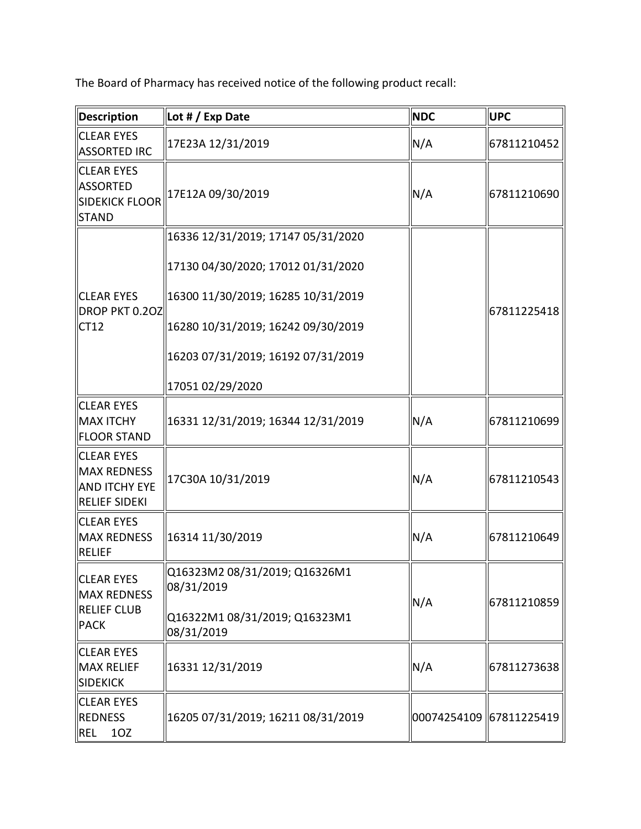The Board of Pharmacy has received notice of the following product recall:

| <b>Description</b>                                                            | Lot # / Exp Date                            | <b>NDC</b>              | <b>UPC</b>  |  |
|-------------------------------------------------------------------------------|---------------------------------------------|-------------------------|-------------|--|
| <b>CLEAR EYES</b><br>ASSORTED IRC                                             | 17E23A 12/31/2019                           | N/A                     | 67811210452 |  |
| <b>CLEAR EYES</b><br><b>ASSORTED</b><br><b>SIDEKICK FLOOR</b><br><b>STAND</b> | 17E12A 09/30/2019                           | N/A                     | 67811210690 |  |
|                                                                               | 16336 12/31/2019; 17147 05/31/2020          |                         |             |  |
| <b>CLEAR EYES</b><br>DROP PKT 0.20Z<br>ICT12                                  | 17130 04/30/2020; 17012 01/31/2020          |                         |             |  |
|                                                                               | 16300 11/30/2019; 16285 10/31/2019          |                         |             |  |
|                                                                               | 16280 10/31/2019; 16242 09/30/2019          |                         | 67811225418 |  |
|                                                                               | 16203 07/31/2019; 16192 07/31/2019          |                         |             |  |
|                                                                               | 17051 02/29/2020                            |                         |             |  |
| <b>CLEAR EYES</b><br>MAX ITCHY<br>FLOOR STAND                                 | 16331 12/31/2019; 16344 12/31/2019          | N/A                     | 67811210699 |  |
| <b>CLEAR EYES</b><br>MAX REDNESS<br>AND ITCHY EYE<br>RELIEF SIDEKI            | 17C30A 10/31/2019                           | N/A                     | 67811210543 |  |
| <b>CLEAR EYES</b><br>MAX REDNESS<br><b>RELIEF</b>                             | 16314 11/30/2019                            | N/A                     | 67811210649 |  |
| <b>CLEAR EYES</b><br>MAX REDNESS<br><b>RELIEF CLUB</b><br>PACK                | Q16323M2 08/31/2019; Q16326M1<br>08/31/2019 |                         | 67811210859 |  |
|                                                                               | Q16322M1 08/31/2019; Q16323M1<br>08/31/2019 | N/A                     |             |  |
| <b>CLEAR EYES</b><br><b>MAX RELIEF</b><br>SIDEKICK                            | 16331 12/31/2019                            | N/A                     | 67811273638 |  |
| <b>CLEAR EYES</b><br>REDNESS<br><b>REL</b><br>10Z                             | 16205 07/31/2019; 16211 08/31/2019          | 00074254109 67811225419 |             |  |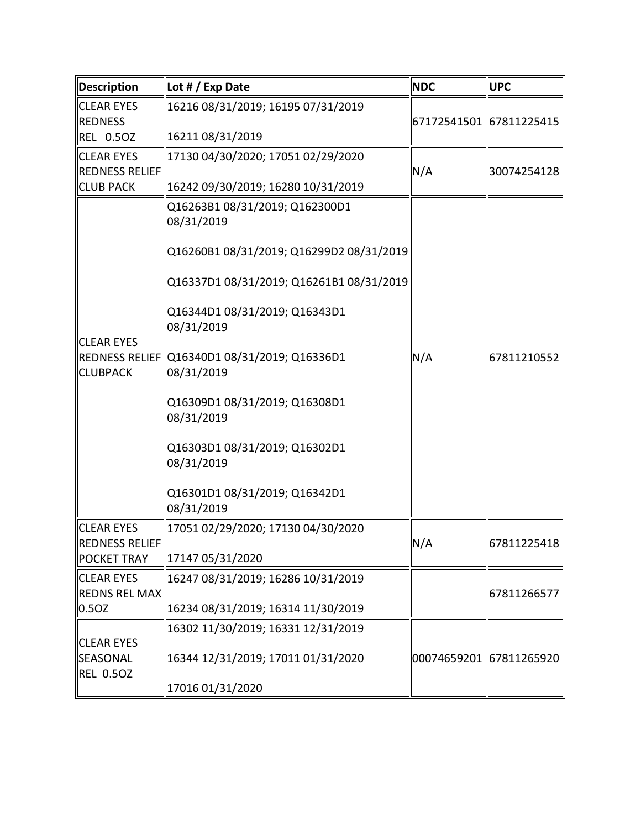| Description                          | Lot # / Exp Date                                             | <b>NDC</b>              | <b>UPC</b>  |  |
|--------------------------------------|--------------------------------------------------------------|-------------------------|-------------|--|
| <b>CLEAR EYES</b><br><b>REDNESS</b>  | 16216 08/31/2019; 16195 07/31/2019                           | 67172541501 67811225415 |             |  |
| <b>REL 0.50Z</b>                     | 16211 08/31/2019                                             |                         |             |  |
| <b>CLEAR EYES</b><br>REDNESS RELIEF  | 17130 04/30/2020; 17051 02/29/2020                           | N/A                     | 30074254128 |  |
| <b>CLUB PACK</b>                     | 16242 09/30/2019; 16280 10/31/2019                           |                         |             |  |
| <b>CLEAR EYES</b><br><b>CLUBPACK</b> | Q16263B1 08/31/2019; Q162300D1<br>08/31/2019                 |                         |             |  |
|                                      | Q16260B1 08/31/2019; Q16299D2 08/31/2019                     |                         | 67811210552 |  |
|                                      | Q16337D1 08/31/2019; Q16261B1 08/31/2019                     |                         |             |  |
|                                      | Q16344D1 08/31/2019; Q16343D1<br>08/31/2019                  |                         |             |  |
|                                      | REDNESS RELIEF   Q16340D1 08/31/2019; Q16336D1<br>08/31/2019 | N/A                     |             |  |
|                                      | Q16309D1 08/31/2019; Q16308D1<br>08/31/2019                  |                         |             |  |
|                                      | Q16303D1 08/31/2019; Q16302D1<br>08/31/2019                  |                         |             |  |
|                                      | Q16301D1 08/31/2019; Q16342D1<br>08/31/2019                  |                         |             |  |
| <b>CLEAR EYES</b>                    | 17051 02/29/2020; 17130 04/30/2020                           |                         |             |  |
| REDNESS RELIEF<br><b>POCKET TRAY</b> | 17147 05/31/2020                                             | N/A                     | 67811225418 |  |
| <b>CLEAR EYES</b>                    | 16247 08/31/2019; 16286 10/31/2019                           |                         |             |  |
| <b>REDNS REL MAX</b>                 |                                                              |                         | 67811266577 |  |
| 0.50Z                                | 16234 08/31/2019; 16314 11/30/2019                           |                         |             |  |
|                                      | 16302 11/30/2019; 16331 12/31/2019                           |                         |             |  |
| <b>CLEAR EYES</b>                    |                                                              |                         |             |  |
| SEASONAL<br><b>REL 0.50Z</b>         | 16344 12/31/2019; 17011 01/31/2020                           | 00074659201 67811265920 |             |  |
|                                      | 17016 01/31/2020                                             |                         |             |  |